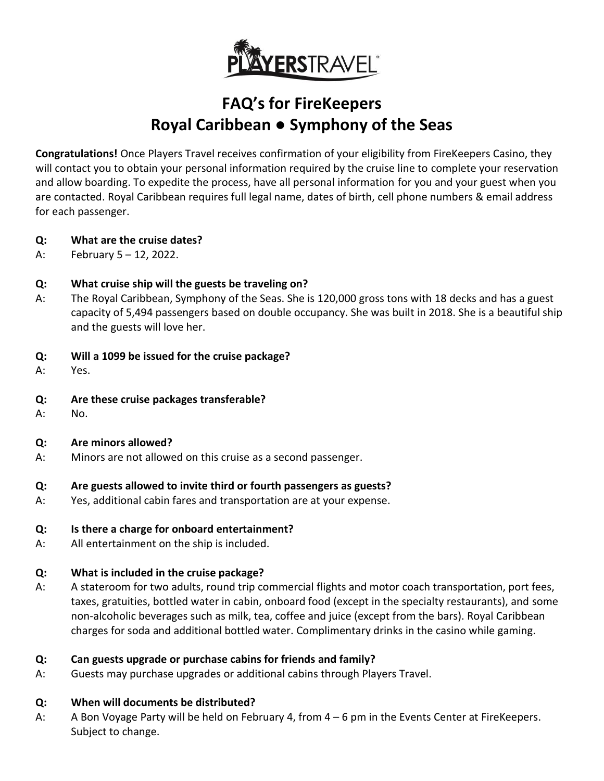

# **FAQ's for FireKeepers Royal Caribbean ● Symphony of the Seas**

**Congratulations!** Once Players Travel receives confirmation of your eligibility from FireKeepers Casino, they will contact you to obtain your personal information required by the cruise line to complete your reservation and allow boarding. To expedite the process, have all personal information for you and your guest when you are contacted. Royal Caribbean requires full legal name, dates of birth, cell phone numbers & email address for each passenger.

- **Q: What are the cruise dates?**
- A: February 5 12, 2022.

## **Q: What cruise ship will the guests be traveling on?**

A: The Royal Caribbean, Symphony of the Seas. She is 120,000 gross tons with 18 decks and has a guest capacity of 5,494 passengers based on double occupancy. She was built in 2018. She is a beautiful ship and the guests will love her.

## **Q: Will a 1099 be issued for the cruise package?**

- A: Yes.
- **Q: Are these cruise packages transferable?**
- A: No.

## **Q: Are minors allowed?**

A: Minors are not allowed on this cruise as a second passenger.

## **Q: Are guests allowed to invite third or fourth passengers as guests?**

A: Yes, additional cabin fares and transportation are at your expense.

## **Q: Is there a charge for onboard entertainment?**

A: All entertainment on the ship is included.

## **Q: What is included in the cruise package?**

A: A stateroom for two adults, round trip commercial flights and motor coach transportation, port fees, taxes, gratuities, bottled water in cabin, onboard food (except in the specialty restaurants), and some non-alcoholic beverages such as milk, tea, coffee and juice (except from the bars). Royal Caribbean charges for soda and additional bottled water. Complimentary drinks in the casino while gaming.

# **Q: Can guests upgrade or purchase cabins for friends and family?**

A: Guests may purchase upgrades or additional cabins through Players Travel.

## **Q: When will documents be distributed?**

A: A Bon Voyage Party will be held on February 4, from 4 – 6 pm in the Events Center at FireKeepers. Subject to change.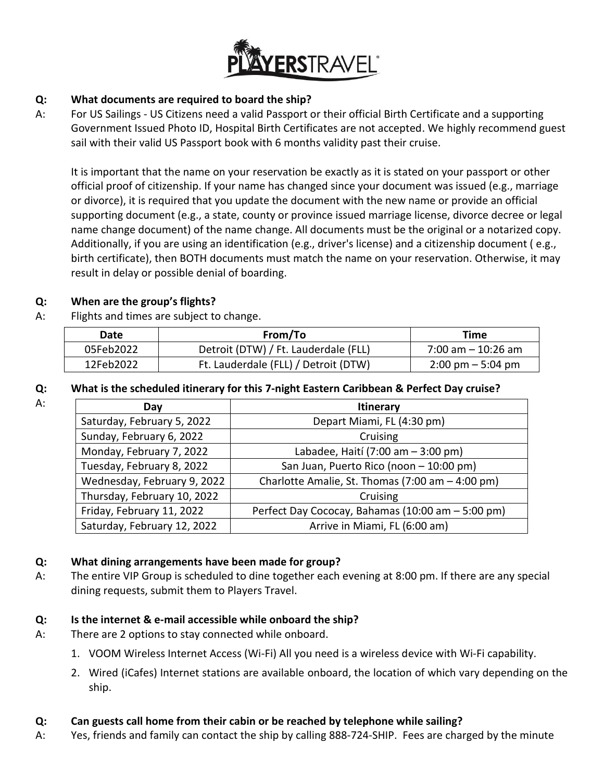

## **Q: What documents are required to board the ship?**

A: For US Sailings - US Citizens need a valid Passport or their official Birth Certificate and a supporting Government Issued Photo ID, Hospital Birth Certificates are not accepted. We highly recommend guest sail with their valid US Passport book with 6 months validity past their cruise.

It is important that the name on your reservation be exactly as it is stated on your passport or other official proof of citizenship. If your name has changed since your document was issued (e.g., marriage or divorce), it is required that you update the document with the new name or provide an official supporting document (e.g., a state, county or province issued marriage license, divorce decree or legal name change document) of the name change. All documents must be the original or a notarized copy. Additionally, if you are using an identification (e.g., driver's license) and a citizenship document ( e.g., birth certificate), then BOTH documents must match the name on your reservation. Otherwise, it may result in delay or possible denial of boarding.

## **Q: When are the group's flights?**

A: Flights and times are subject to change.

| Date      | From/To                              | Time                                |
|-----------|--------------------------------------|-------------------------------------|
| 05Feb2022 | Detroit (DTW) / Ft. Lauderdale (FLL) | $7:00$ am $-10:26$ am               |
| 12Feb2022 | Ft. Lauderdale (FLL) / Detroit (DTW) | $2:00 \text{ pm} - 5:04 \text{ pm}$ |

# **Q: What is the scheduled itinerary for this 7-night Eastern Caribbean & Perfect Day cruise?**

| What is the scheduled itinerary for this 7-night Eastern Caribbean & Perfect Day cruise? |  |
|------------------------------------------------------------------------------------------|--|
|------------------------------------------------------------------------------------------|--|

| Day                         | <b>Itinerary</b>                                  |
|-----------------------------|---------------------------------------------------|
| Saturday, February 5, 2022  | Depart Miami, FL (4:30 pm)                        |
| Sunday, February 6, 2022    | Cruising                                          |
| Monday, February 7, 2022    | Labadee, Haití (7:00 am - 3:00 pm)                |
| Tuesday, February 8, 2022   | San Juan, Puerto Rico (noon - 10:00 pm)           |
| Wednesday, February 9, 2022 | Charlotte Amalie, St. Thomas (7:00 am - 4:00 pm)  |
| Thursday, February 10, 2022 | Cruising                                          |
| Friday, February 11, 2022   | Perfect Day Cococay, Bahamas (10:00 am - 5:00 pm) |
| Saturday, February 12, 2022 | Arrive in Miami, FL (6:00 am)                     |

# **Q: What dining arrangements have been made for group?**

A: The entire VIP Group is scheduled to dine together each evening at 8:00 pm. If there are any special dining requests, submit them to Players Travel.

## **Q: Is the internet & e-mail accessible while onboard the ship?**

- A: There are 2 options to stay connected while onboard.
	- 1. VOOM Wireless Internet Access (Wi-Fi) All you need is a wireless device with Wi-Fi capability.
	- 2. Wired (iCafes) Internet stations are available onboard, the location of which vary depending on the ship.

## **Q: Can guests call home from their cabin or be reached by telephone while sailing?**

A: Yes, friends and family can contact the ship by calling 888-724-SHIP. Fees are charged by the minute